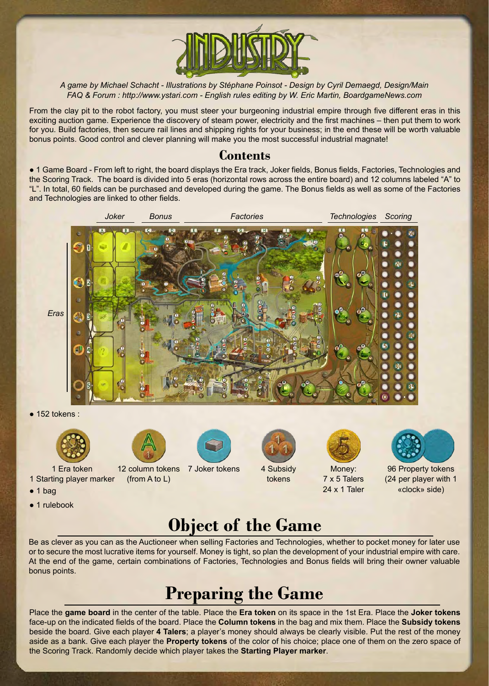

*A game by Michael Schacht - Illustrations by Stéphane Poinsot - Design by Cyril Demaegd, Design/Main FAQ & Forum : http://www.ystari.com - English rules editing by W. Eric Martin, BoardgameNews.com*

From the clay pit to the robot factory, you must steer your burgeoning industrial empire through five different eras in this exciting auction game. Experience the discovery of steam power, electricity and the first machines – then put them to work for you. Build factories, then secure rail lines and shipping rights for your business; in the end these will be worth valuable bonus points. Good control and clever planning will make you the most successful industrial magnate!

### **Contents**

● 1 Game Board - From left to right, the board displays the Era track, Joker fields, Bonus fields, Factories, Technologies and the Scoring Track. The board is divided into 5 eras (horizontal rows across the entire board) and 12 columns labeled "A" to "L". In total, 60 fields can be purchased and developed during the game. The Bonus fields as well as some of the Factories and Technologies are linked to other fields.



Be as clever as you can as the Auctioneer when selling Factories and Technologies, whether to pocket money for later use or to secure the most lucrative items for yourself. Money is tight, so plan the development of your industrial empire with care. At the end of the game, certain combinations of Factories, Technologies and Bonus fields will bring their owner valuable bonus points.

## **Preparing the Game**

Place the **game board** in the center of the table. Place the **Era token** on its space in the 1st Era. Place the **Joker tokens** face-up on the indicated fields of the board. Place the **Column tokens** in the bag and mix them. Place the **Subsidy tokens**  beside the board. Give each player **4 Talers**; a player's money should always be clearly visible. Put the rest of the money aside as a bank. Give each player the **Property tokens** of the color of his choice; place one of them on the zero space of the Scoring Track. Randomly decide which player takes the **Starting Player marker**.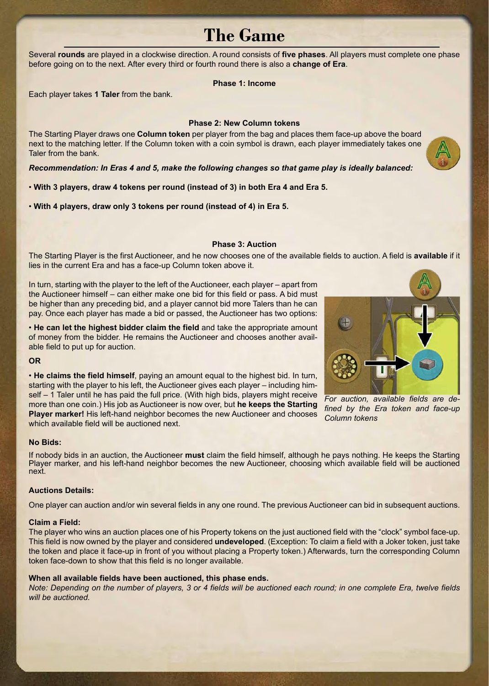### **The Game**

Several **rounds** are played in a clockwise direction. A round consists of **five phases**. All players must complete one phase before going on to the next. After every third or fourth round there is also a **change of Era**.

### **Phase 1: Income**

Each player takes **1 Taler** from the bank.

### **Phase 2: New Column tokens**

The Starting Player draws one **Column token** per player from the bag and places them face-up above the board next to the matching letter. If the Column token with a coin symbol is drawn, each player immediately takes one Taler from the bank.

*Recommendation: In Eras 4 and 5, make the following changes so that game play is ideally balanced:*

• **With 3 players, draw 4 tokens per round (instead of 3) in both Era 4 and Era 5.**

• **With 4 players, draw only 3 tokens per round (instead of 4) in Era 5.**

#### **Phase 3: Auction**

The Starting Player is the first Auctioneer, and he now chooses one of the available fields to auction. A field is **available** if it lies in the current Era and has a face-up Column token above it.

In turn, starting with the player to the left of the Auctioneer, each player – apart from the Auctioneer himself – can either make one bid for this field or pass. A bid must be higher than any preceding bid, and a player cannot bid more Talers than he can pay. Once each player has made a bid or passed, the Auctioneer has two options:

• **He can let the highest bidder claim the field** and take the appropriate amount of money from the bidder. He remains the Auctioneer and chooses another available field to put up for auction.

#### **OR**

• **He claims the field himself**, paying an amount equal to the highest bid. In turn, starting with the player to his left, the Auctioneer gives each player – including himself – 1 Taler until he has paid the full price. (With high bids, players might receive more than one coin.) His job as Auctioneer is now over, but **he keeps the Starting Player marker!** His left-hand neighbor becomes the new Auctioneer and chooses which available field will be auctioned next.

#### **No Bids:**

If nobody bids in an auction, the Auctioneer **must** claim the field himself, although he pays nothing. He keeps the Starting Player marker, and his left-hand neighbor becomes the new Auctioneer, choosing which available field will be auctioned next.

#### **Auctions Details:**

One player can auction and/or win several fields in any one round. The previous Auctioneer can bid in subsequent auctions.

#### **Claim a Field:**

The player who wins an auction places one of his Property tokens on the just auctioned field with the "clock" symbol face-up. This field is now owned by the player and considered **undeveloped**. (Exception: To claim a field with a Joker token, just take the token and place it face-up in front of you without placing a Property token.) Afterwards, turn the corresponding Column token face-down to show that this field is no longer available.

#### **When all available fields have been auctioned, this phase ends.**

*Note: Depending on the number of players, 3 or 4 fields will be auctioned each round; in one complete Era, twelve fields will be auctioned.*





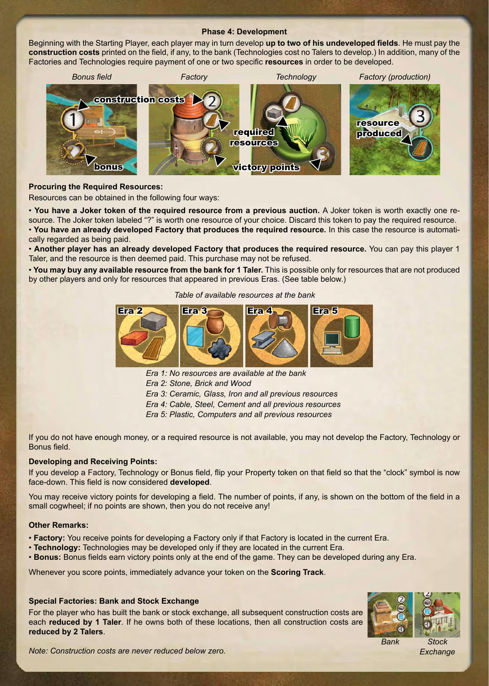#### **Phase 4: Development**

Beginning with the Starting Player, each player may in turn develop **up to two of his undeveloped fields**. He must pay the **construction costs** printed on the field, if any, to the bank (Technologies cost no Talers to develop.) In addition, many of the Factories and Technologies require payment of one or two specific **resources** in order to be developed.



#### **Procuring the Required Resources:**

Resources can be obtained in the following four ways:

• **You have a Joker token of the required resource from a previous auction.** A Joker token is worth exactly one resource. The Joker token labeled "?" is worth one resource of your choice. Discard this token to pay the required resource. • **You have an already developed Factory that produces the required resource.** In this case the resource is automatically regarded as being paid.

• **Another player has an already developed Factory that produces the required resource.** You can pay this player 1 Taler, and the resource is then deemed paid. This purchase may not be refused.

• **You may buy any available resource from the bank for 1 Taler.** This is possible only for resources that are not produced by other players and only for resources that appeared in previous Eras. (See table below.)

*Table of available resources at the bank*



- *Era 1: No resources are available at the bank*
- *Era 2: Stone, Brick and Wood*
- *Era 3: Ceramic, Glass, Iron and all previous resources*
- *Era 4: Cable, Steel, Cement and all previous resources*

*Era 5: Plastic, Computers and all previous resources*

If you do not have enough money, or a required resource is not available, you may not develop the Factory, Technology or Bonus field.

#### **Developing and Receiving Points:**

If you develop a Factory, Technology or Bonus field, flip your Property token on that field so that the "clock" symbol is now face-down. This field is now considered **developed**.

You may receive victory points for developing a field. The number of points, if any, is shown on the bottom of the field in a small cogwheel; if no points are shown, then you do not receive any!

#### **Other Remarks:**

- **Factory:** You receive points for developing a Factory only if that Factory is located in the current Era.
- **Technology:** Technologies may be developed only if they are located in the current Era.
- **Bonus:** Bonus fields earn victory points only at the end of the game. They can be developed during any Era.

Whenever you score points, immediately advance your token on the **Scoring Track**.

#### **Special Factories: Bank and Stock Exchange**

For the player who has built the bank or stock exchange, all subsequent construction costs are each **reduced by 1 Taler**. If he owns both of these locations, then all construction costs are **reduced by 2 Talers**.



*Exchange*

*Note: Construction costs are never reduced below zero.*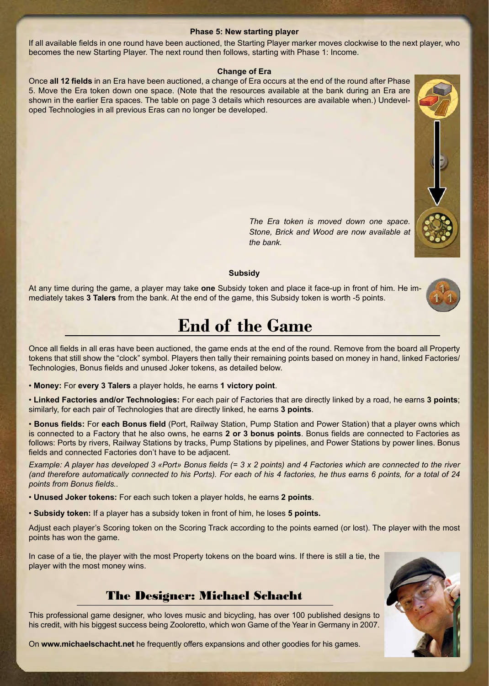#### **Phase 5: New starting player**

If all available fields in one round have been auctioned, the Starting Player marker moves clockwise to the next player, who becomes the new Starting Player. The next round then follows, starting with Phase 1: Income.

#### **Change of Era**

Once **all 12 fields** in an Era have been auctioned, a change of Era occurs at the end of the round after Phase 5. Move the Era token down one space. (Note that the resources available at the bank during an Era are shown in the earlier Era spaces. The table on page 3 details which resources are available when.) Undeveloped Technologies in all previous Eras can no longer be developed.



*The Era token is moved down one space. Stone, Brick and Wood are now available at the bank.*

#### **Subsidy**

At any time during the game, a player may take **one** Subsidy token and place it face-up in front of him. He immediately takes **3 Talers** from the bank. At the end of the game, this Subsidy token is worth -5 points.



### **End of the Game**

Once all fields in all eras have been auctioned, the game ends at the end of the round. Remove from the board all Property tokens that still show the "clock" symbol. Players then tally their remaining points based on money in hand, linked Factories/ Technologies, Bonus fields and unused Joker tokens, as detailed below.

• **Money:** For **every 3 Talers** a player holds, he earns **1 victory point**.

• **Linked Factories and/or Technologies:** For each pair of Factories that are directly linked by a road, he earns **3 points**; similarly, for each pair of Technologies that are directly linked, he earns **3 points**.

• **Bonus fields:** For **each Bonus field** (Port, Railway Station, Pump Station and Power Station) that a player owns which is connected to a Factory that he also owns, he earns **2 or 3 bonus points**. Bonus fields are connected to Factories as follows: Ports by rivers, Railway Stations by tracks, Pump Stations by pipelines, and Power Stations by power lines. Bonus fields and connected Factories don't have to be adjacent.

*Example: A player has developed 3 «Port» Bonus fields (= 3 x 2 points) and 4 Factories which are connected to the river (and therefore automatically connected to his Ports). For each of his 4 factories, he thus earns 6 points, for a total of 24 points from Bonus fields..*

• **Unused Joker tokens:** For each such token a player holds, he earns **2 points**.

• **Subsidy token:** If a player has a subsidy token in front of him, he loses **5 points.**

Adjust each player's Scoring token on the Scoring Track according to the points earned (or lost). The player with the most points has won the game.

In case of a tie, the player with the most Property tokens on the board wins. If there is still a tie, the player with the most money wins.



This professional game designer, who loves music and bicycling, has over 100 published designs to his credit, with his biggest success being Zooloretto, which won Game of the Year in Germany in 2007.

On **www.michaelschacht.net** he frequently offers expansions and other goodies for his games.

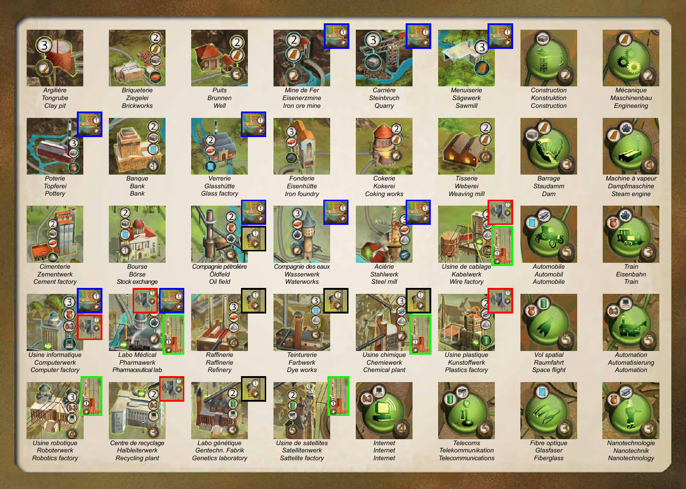

*Argilière Tongrube Clay pit*









*Cimenterie Zementwerk Cement factory*



*Usine informatique Computerwerk Computer factory*



*Usine robotique Roboterwerk Robotics factory*



*Banque Bank Bank*

*Bourse Börse Stock exchange*

*Labo Médical Pharmawerk Pharmaceutical lab*

*Centre de recyclage Halbleiterwerk Recycling plant*

*Briqueterie Ziegelei Brickworks*



*Brunnen Well*



*Verrerie Glasshütte Glass factory*



*Raffinerie Raffinerie Refinery*

*Labo génétique Gentechn. Fabrik Genetics laboratory*

*Compagnie pétrolière Öldfeld Oil field*





*Fonderie Eisenhütte Iron foundry*

*Mine de Fer Eisenerzmine Iron ore mine*

*Compagnie des eaux Wasserwerk Waterworks*



*Farbwerk Dye works*



*Usine de satellites Satellitenwerk Sattelite factory*



*Carrière Steinbruch Quarry*



*Cokerie Kokerei Coking works*



*Stahlwerk Steel mill*



*Usine chimique Chemiewerk Chemical plant*



*Internet Internet*



*Menuiserie Sägewerk Sawmill*



*Tisserie Weberei Weaving mill*



*Kabelwerk Wire factory*



*Usine plastique Kunstoffwerk Plastics factory*



*Telecoms Telekommunikation Telecommunications*



*Konstruktion Construction*

*Staudamm Dam*

*Automobile Automobil Automobile*

*Vol spatial Raumfahrt Space flight*

*Fibre optique Glasfaser Fiberglass*



*Maschinenbau Engineering*



*Machine à vapeur Dampfmaschine Steam engine*



*Train Eisenbahn Train*







*Nanotechnologie Nanotechnik Nanotechnology*